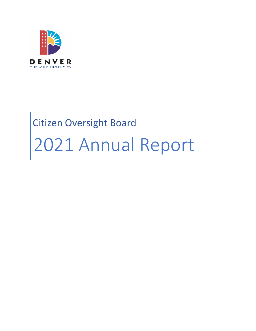

# Citizen Oversight Board 2021 Annual Report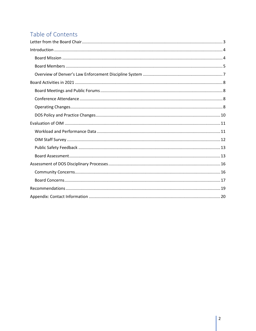# Table of Contents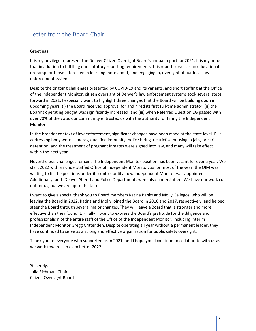# <span id="page-2-0"></span>Letter from the Board Chair

#### Greetings,

It is my privilege to present the Denver Citizen Oversight Board's annual report for 2021. It is my hope that in addition to fulfilling our statutory reporting requirements, this report serves as an educational on-ramp for those interested in learning more about, and engaging in, oversight of our local law enforcement systems.

Despite the ongoing challenges presented by COVID-19 and its variants, and short staffing at the Office of the Independent Monitor, citizen oversight of Denver's law enforcement systems took several steps forward in 2021. I especially want to highlight three changes that the Board will be building upon in upcoming years: (i) the Board received approval for and hired its first full-time administrator; (ii) the Board's operating budget was significantly increased; and (iii) when Referred Question 2G passed with over 70% of the vote, our community entrusted us with the authority for hiring the Independent Monitor.

In the broader context of law enforcement, significant changes have been made at the state level. Bills addressing body worn cameras, qualified immunity, police hiring, restrictive housing in jails, pre-trial detention, and the treatment of pregnant inmates were signed into law, and many will take effect within the next year.

Nevertheless, challenges remain. The Independent Monitor position has been vacant for over a year. We start 2022 with an understaffed Office of Independent Monitor, as for most of the year, the OIM was waiting to fill the positions under its control until a new Independent Monitor was appointed. Additionally, both Denver Sheriff and Police Departments were also understaffed. We have our work cut out for us, but we are up to the task.

I want to give a special thank you to Board members Katina Banks and Molly Gallegos, who will be leaving the Board in 2022. Katina and Molly joined the Board in 2016 and 2017, respectively, and helped steer the Board through several major changes. They will leave a Board that is stronger and more effective than they found it. Finally, I want to express the Board's gratitude for the diligence and professionalism of the entire staff of the Office of the Independent Monitor, including interim Independent Monitor Gregg Crittenden. Despite operating all year without a permanent leader, they have continued to serve as a strong and effective organization for public safety oversight.

Thank you to everyone who supported us in 2021, and I hope you'll continue to collaborate with us as we work towards an even better 2022.

Sincerely, Julia Richman, Chair Citizen Oversight Board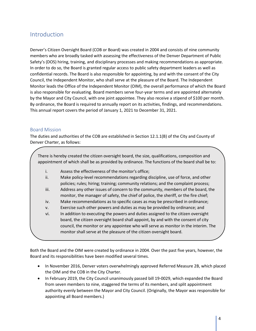## <span id="page-3-0"></span>Introduction

Denver's Citizen Oversight Board (COB or Board) was created in 2004 and consists of nine community members who are broadly tasked with assessing the effectiveness of the Denver Department of Public Safety's (DOS) hiring, training, and disciplinary processes and making recommendations as appropriate. In order to do so, the Board is granted regular access to public safety department leaders as well as confidential records. The Board is also responsible for appointing, by and with the consent of the City Council, the Independent Monitor, who shall serve at the pleasure of the Board. The Independent Monitor leads the Office of the Independent Monitor (OIM), the overall performance of which the Board is also responsible for evaluating. Board members serve four-year terms and are appointed alternately by the Mayor and City Council, with one joint appointee. They also receive a stipend of \$100 per month. By ordinance, the Board is required to annually report on its activities, findings, and recommendations. This annual report covers the period of January 1, 2021 to December 31, 2021.

#### <span id="page-3-1"></span>Board Mission

The duties and authorities of the COB are established in Section 12.1.1(B) of the City and County of Denver Charter, as follows:

There is hereby created the citizen oversight board, the size, qualifications, composition and appointment of which shall be as provided by ordinance. The functions of the board shall be to:

- i. Assess the effectiveness of the monitor's office;
- ii. Make policy-level recommendations regarding discipline, use of force, and other policies; rules; hiring; training; community relations; and the complaint process;
- iii. Address any other issues of concern to the community, members of the board, the monitor, the manager of safety, the chief of police, the sheriff, or the fire chief;
- iv. Make recommendations as to specific cases as may be prescribed in ordinance;
- v. Exercise such other powers and duties as may be provided by ordinance; and
- vi. In addition to executing the powers and duties assigned to the citizen oversight board, the citizen oversight board shall appoint, by and with the consent of city council, the monitor or any appointee who will serve as monitor in the interim. The monitor shall serve at the pleasure of the citizen oversight board.

Both the Board and the OIM were created by ordinance in 2004. Over the past five years, however, the Board and its responsibilities have been modified several times.

- In November 2016, Denver voters overwhelmingly approved Referred Measure 2B, which placed the OIM and the COB in the City Charter.
- In February 2019, the City Council unanimously passed bill 19-0029, which expanded the Board from seven members to nine, staggered the terms of its members, and split appointment authority evenly between the Mayor and City Council. (Originally, the Mayor was responsible for appointing all Board members.)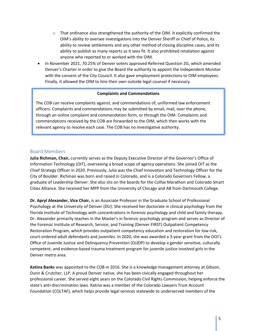- $\circ$  That ordinance also strengthened the authority of the OIM. It explicitly confirmed the OIM's ability to oversee investigations into the Denver Sheriff or Chief of Police, its ability to review settlements and any other method of closing discipline cases, and its ability to publish as many reports as it sees fit. It also prohibited retaliation against anyone who reported to or worked with the OIM.
- In November 2021, 70.25% of Denver voters approved Referred Question 2G, which amended Denver's Charter in order to give the Board the authority to appoint the Independent Monitor with the consent of the City Council. It also gave employment protections to OIM employees. Finally, it allowed the OIM to hire their own outside legal counsel if necessary.

#### **Complaints and Commendations**

The COB can receive complaints against, and commendations of, uniformed law enforcement officers. Complaints and commendations may be submitted by email, mail, over the phone, through an online complaint and commendation form, or through the OIM. Complaints and commendations received by the COB are forwarded to the OIM, which then works with the relevant agency to resolve each case. The COB has no investigative authority.

#### <span id="page-4-0"></span>Board Members

**Julia Richman, Chair,** currently serves as the Deputy Executive Director of the Governor's Office of Information Technology (OIT), overseeing a broad scope of agency operations. She joined OIT as the Chief Strategy Officer in 2020. Previously, Julia was the Chief Innovation and Technology Officer for the City of Boulder. Richman was born and raised in Colorado, and is a Colorado Governors Fellow, a graduate of Leadership Denver. She also sits on the boards for the Colfax Marathon and Colorado Smart Cities Alliance. She received her MPP from the University of Chicago and AB from Dartmouth College.

**Dr. Apryl Alexander, Vice Chair,** is an Associate Professor in the Graduate School of Professional Psychology at the University of Denver (DU). She received her doctorate in clinical psychology from the Florida Institute of Technology with concentrations in forensic psychology and child and family therapy. Dr. Alexander primarily teaches in the Master's in forensic psychology program and serves as Director of the Forensic Institute of Research, Service, and Training (Denver FIRST) Outpatient Competency Restoration Program, which provides outpatient competency education and restoration for low-risk, court-ordered adult defendants and juveniles. In 2020, she was awarded a 3-year grant from the DOJ's Office of Juvenile Justice and Delinquency Prevention (OJJDP) to develop a gender sensitive, culturally competent, and evidence-based trauma treatment program for juvenile justice involved girls in the Denver metro area.

**Katina Banks** was appointed to the COB in 2016. She is a knowledge management attorney at Gibson, Dunn & Crutcher, LLP. A proud Denver native, she has been civically engaged throughout her professional career. She served eight years on the Colorado Civil Rights Commission, helping enforce the state's anti-discrimination laws. Katina was a member of the Colorado Lawyers Trust Account Foundation (COLTAF), which helps provide legal services statewide to underserved members of the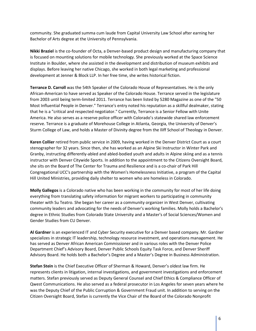community. She graduated summa cum laude from Capital University Law School after earning her Bachelor of Arts degree at the University of Pennsylvania.

**Nikki Braziel** is the co-founder of Octa, a Denver-based product design and manufacturing company that is focused on mounting solutions for mobile technology. She previously worked at the Space Science Institute in Boulder, where she assisted in the development and distribution of museum exhibits and displays. Before leaving her native Chicago, she worked in both legal marketing and professional development at Jenner & Block LLP. In her free time, she writes historical fiction.

**Terrance D. Carroll** was the 54th Speaker of the Colorado House of Representatives. He is the only African-American to have served as Speaker of the Colorado House. Terrance served in the legislature from 2003 until being term-limited 2011. Terrance has been listed by 5280 Magazine as one of the "50 Most Influential People in Denver." Terrance's entry noted his reputation as a skillful dealmaker, stating that he is a "critical and respected negotiator." Currently, Terrance is a Senior Fellow with Unite America. He also serves as a reserve police officer with Colorado's statewide shared law enforcement reserve. Terrance is a graduate of Morehouse College in Atlanta, Georgia, the University of Denver's Sturm College of Law, and holds a Master of Divinity degree from the Iliff School of Theology in Denver.

**Karen Collier** retired from public service in 2009, having worked in the Denver District Court as a court stenographer for 32 years. Since then, she has worked as an Alpine Ski Instructor in Winter Park and Granby, instructing differently-abled and abled-bodied youth and adults in Alpine skiing and as a tennis instructor with Denver Citywide Sports. In addition to the appointment to the Citizens Oversight Board, she sits on the Board of The Center for Trauma and Resilience and is a co-chair of Park Hill Congregational UCC's partnership with the Women's Homelessness Initiative, a program of the Capital Hill United Ministries, providing daily shelter to women who are homeless in Colorado.

**Molly Gallegos** is a Colorado native who has been working in the community for most of her life doing everything from translating safety information for migrant workers to participating in community theater with Su Teatro. She began her career as a community organizer in West Denver, cultivating community leaders and advocating for the needs of Denver's working families. Molly holds a Bachelor's degree in Ethnic Studies from Colorado State University and a Master's of Social Sciences/Women and Gender Studies from CU Denver.

**Al Gardner** is an experienced IT and Cyber Security executive for a Denver based company. Mr. Gardner specializes in strategic IT leadership, technology resource investment, and operations management. He has served as Denver African American Commissioner and in various roles with the Denver Police Department Chief's Advisory Board, Denver Public Schools Equity Task Force, and Denver Sheriff Advisory Board. He holds both a Bachelor's Degree and a Master's Degree in Business Administration.

**Stefan Stein** is the Chief Executive Officer of Sherman & Howard, Denver's oldest law firm. He represents clients in litigation, internal investigations, and government investigations and enforcement matters. Stefan previously served as Deputy General Counsel and Chief Ethics & Compliance Officer of Qwest Communications. He also served as a federal prosecutor in Los Angeles for seven years where he was the Deputy Chief of the Public Corruption & Government Fraud unit. In addition to serving on the Citizen Oversight Board, Stefan is currently the Vice Chair of the Board of the Colorado Nonprofit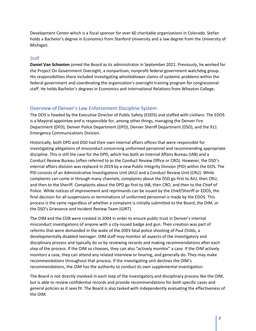Development Center which is a fiscal sponsor for over 60 charitable organizations in Colorado. Stefan holds a Bachelor's degree in Economics from Stanford University and a law degree from the University of Michigan.

#### **Staff**

**Daniel Van Schooten** joined the Board as its administrator in September 2021. Previously, he worked for the Project On Government Oversight, a nonpartisan, nonprofit federal government watchdog group. His responsibilities there included investigating whistleblower claims of systemic problems within the federal government and coordinating the organization's oversight training program for congressional staff. He holds Bachelor's degrees in Economics and International Relations from Wheaton College.

#### <span id="page-6-0"></span>Overview of Denver's Law Enforcement Discipline System

The DOS is headed by the Executive Director of Public Safety (EDOS) and staffed with civilians. The EDOS is a Mayoral appointee and is responsible for, among other things, managing the Denver Fire Department (DFD), Denver Police Department (DPD), Denver Sheriff Department (DSD), and the 911 Emergency Communications Division.

Historically, both DPD and DSD had their own internal affairs offices that were responsible for investigating allegations of misconduct concerning uniformed personnel and recommending appropriate discipline. This is still the case for the DPD, which has both an Internal Affairs Bureau (IAB) and a Conduct Review Bureau (often referred to as the Conduct Review Office or CRO). However, the DSD's internal affairs division was replaced in 2019 by a new Public Integrity Division (PID) within the DOS. The PID consists of an Administrative Investigations Unit (AIU) and a Conduct Review Unit (CRU). While complaints can come in through many channels, complaints about the DSD go first to AIU, then CRU, and then to the Sheriff. Complaints about the DPD go first to IAB, then CRO, and then to the Chief of Police. While notices of improvement and reprimands can be issued by the Chief/Sheriff or EDOS, the final decision for all suspensions or terminations of uniformed personnel is made by the EDOS. This process is the same regardless of whether a complaint is initially submitted to the Board, the OIM, or the DSD's Grievance and Incident Review Team (GIRT).

The OIM and the COB were created in 2004 in order to ensure public trust in Denver's internal misconduct investigations of anyone with a city-issued badge and gun. Their creation was part of reforms that were demanded in the wake of the 2003 fatal police shooting of Paul Childs, a developmentally disabled teenager. OIM staff may monitor all aspects of the investigatory and disciplinary process and typically do so by reviewing records and making recommendations after each step of the process. If the OIM so chooses, they can also "actively monitor" a case. If the OIM actively monitors a case, they can attend any related interview or hearing, and generally do. They may make recommendations throughout that process. If the investigating unit declines the OIM's recommendations, the OIM has the authority to conduct its own supplemental investigation.

The Board is not directly involved in each step of the investigatory and disciplinary process like the OIM, but is able to review confidential records and provide recommendations for both specific cases and general policies as it sees fit. The Board is also tasked with independently evaluating the effectiveness of the OIM.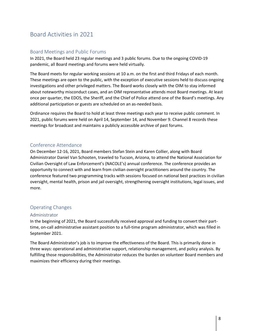## <span id="page-7-0"></span>Board Activities in 2021

#### <span id="page-7-1"></span>Board Meetings and Public Forums

In 2021, the Board held 23 regular meetings and 3 public forums. Due to the ongoing COVID-19 pandemic, all Board meetings and forums were held virtually.

The Board meets for regular working sessions at 10 a.m. on the first and third Fridays of each month. These meetings are open to the public, with the exception of executive sessions held to discuss ongoing investigations and other privileged matters. The Board works closely with the OIM to stay informed about noteworthy misconduct cases, and an OIM representative attends most Board meetings. At least once per quarter, the EDOS, the Sheriff, and the Chief of Police attend one of the Board's meetings. Any additional participation or guests are scheduled on an as-needed basis.

Ordinance requires the Board to hold at least three meetings each year to receive public comment. In 2021, public forums were held on April 14, September 14, and November 9. Channel 8 records these meetings for broadcast and maintains a publicly accessible archive of past forums.

#### <span id="page-7-2"></span>Conference Attendance

On December 12-16, 2021, Board members Stefan Stein and Karen Collier, along with Board Administrator Daniel Van Schooten, traveled to Tucson, Arizona, to attend the National Association for Civilian Oversight of Law Enforcement's (NACOLE's) annual conference. The conference provides an opportunity to connect with and learn from civilian oversight practitioners around the country. The conference featured two programming tracks with sessions focused on national best practices in civilian oversight, mental health, prison and jail oversight, strengthening oversight institutions, legal issues, and more.

#### <span id="page-7-3"></span>Operating Changes

#### Administrator

In the beginning of 2021, the Board successfully received approval and funding to convert their parttime, on-call administrative assistant position to a full-time program administrator, which was filled in September 2021.

The Board Administrator's job is to improve the effectiveness of the Board. This is primarily done in three ways: operational and administrative support, relationship management, and policy analysis. By fulfilling those responsibilities, the Administrator reduces the burden on volunteer Board members and maximizes their efficiency during their meetings.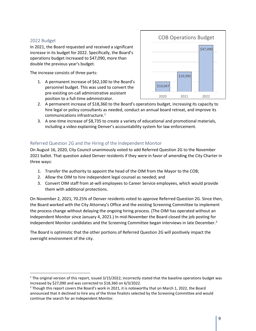#### 2022 Budget

In 2021, the Board requested and received a significant increase in its budget for 2022. Specifically, the Board's operations budget increased to \$47,090, more than double the previous year's budget.

The increase consists of three parts:

1. A permanent increase of \$62,100 to the Board's personnel budget. This was used to convert the pre-existing on-call administrative assistant position to a full-time administrator.



- 2. A permanent increase of \$18,360 to the Board's operations budget, increasing its capacity to hire legal or policy consultants as needed, conduct an annual board retreat, and improve its communications infrastructure. $^{1}$  $^{1}$  $^{1}$
- 3. A one-time increase of \$8,735 to create a variety of educational and promotional materials, including a video explaining Denver's accountability system for law enforcement.

#### Referred Question 2G and the Hiring of the Independent Monitor

On August 16, 2020, City Council unanimously voted to add Referred Question 2G to the November 2021 ballot. That question asked Denver residents if they were in favor of amending the City Charter in three ways:

- 1. Transfer the authority to appoint the head of the OIM from the Mayor to the COB;
- 2. Allow the OIM to hire independent legal counsel as needed; and
- 3. Convert OIM staff from at-will employees to Career Service employees, which would provide them with additional protections.

On November 2, 2021, 70.25% of Denver residents voted to approve Referred Question 2G. Since then, the Board worked with the City Attorney's Office and the existing Screening Committee to implement the process change without delaying the ongoing hiring process. (The OIM has operated without an Independent Monitor since January 4, 2021.) In mid-November the Board closed the job posting for Independent Monitor candidates and the Screening Committee began interviews in late December.<sup>2</sup>

The Board is optimistic that the other portions of Referred Question 2G will positively impact the oversight environment of the city.

<span id="page-8-0"></span> $1$  The original version of this report, issued 3/15/2022, incorrectly stated that the baseline operations budget was

<span id="page-8-1"></span>increased by \$27,090 and was corrected to \$18,360 on 6/3/2022.<br><sup>2</sup> Though this report covers the Board's work in 2021, it is noteworthy that on March 1, 2022, the Board announced that it declined to hire any of the three finalists selected by the Screening Committee and would continue the search for an Independent Monitor.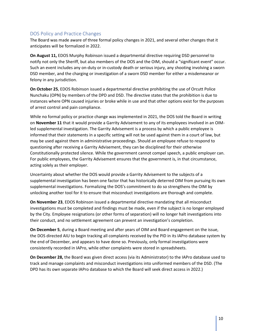#### <span id="page-9-0"></span>DOS Policy and Practice Changes

The Board was made aware of three formal policy changes in 2021, and several other changes that it anticipates will be formalized in 2022.

**On August 11,** EDOS Murphy Robinson issued a departmental directive requiring DSD personnel to notify not only the Sheriff, but also members of the DOS and the OIM, should a "significant event" occur. Such an event includes any on-duty or in-custody death or serious injury, any shooting involving a sworn DSD member, and the charging or investigation of a sworn DSD member for either a misdemeanor or felony in any jurisdiction.

**On October 25**, EDOS Robinson issued a departmental directive prohibiting the use of Orcutt Police Nunchaku (OPN) by members of the DPD and DSD. The directive states that the prohibition is due to instances where OPN caused injuries or broke while in use and that other options exist for the purposes of arrest control and pain compliance.

While no formal policy or practice change was implemented in 2021, the DOS told the Board in writing on **November 11** that it would provide a Garrity Advisement to any of its employees involved in an OIMled supplemental investigation. The Garrity Advisement is a process by which a public employee is informed that their statements in a specific setting will not be used against them in a court of law, but may be used against them in administrative proceedings. Should an employee refuse to respond to questioning after receiving a Garrity Advisement, they can be disciplined for their otherwise Constitutionally protected silence. While the government cannot compel speech, a public employer can. For public employees, the Garrity Advisement ensures that the government is, in that circumstance, acting solely as their employer.

Uncertainty about whether the DOS would provide a Garrity Advisement to the subjects of a supplemental investigation has been one factor that has historically deterred OIM from pursuing its own supplemental investigations. Formalizing the DOS's commitment to do so strengthens the OIM by unlocking another tool for it to ensure that misconduct investigations are thorough and complete.

**On November 23**, EDOS Robinson issued a departmental directive mandating that all misconduct investigations must be completed and findings must be made, even if the subject is no longer employed by the City. Employee resignations (or other forms of separation) will no longer halt investigations into their conduct, and no settlement agreement can prevent an investigation's completion.

**On December 5**, during a Board meeting and after years of OIM and Board engagement on the issue, the DOS directed AIU to begin tracking all complaints received by the PID in its IAPro database system by the end of December, and appears to have done so. Previously, only formal investigations were consistently recorded in IAPro, while other complaints were stored in spreadsheets.

**On December 28,** the Board was given direct access (via its Administrator) to the IAPro database used to track and manage complaints and misconduct investigations into uniformed members of the DSD. (The DPD has its own separate IAPro database to which the Board will seek direct access in 2022.)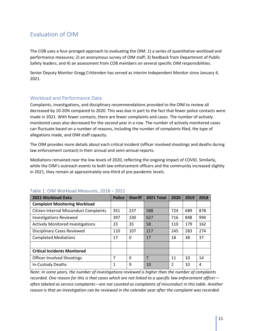## <span id="page-10-0"></span>Evaluation of OIM

 The COB uses a four-pronged approach to evaluating the OIM: 1) a series of quantitative workload and performance measures; 2) an anonymous survey of OIM staff; 3) feedback from Department of Public Safety leaders; and 4) an assessment from COB members on several specific OIM responsibilities.

Safety leaders; and 4) an assessment from COB members on several specific OIM responsibilities.<br>Senior Deputy Monitor Gregg Crittenden has served as interim Independent Monitor since January 4, 2021.

#### Workload and Performance Data

Complaints, investigations, and disciplinary recommendations provided to the OIM to review all decreased by 10-20% compared to 2020. This was due in part to the fact that fewer police contacts were made in 2021. With fewer contacts, there are fewer complaints and cases. The number of actively monitored cases also decreased for the second year in a row. The number of actively monitored cases can fluctuate based on a number of reasons, including the number of complaints filed, the type of allegations made, and OIM staff capacity.

The OIM provides more details about each critical incident (officer involved shootings and deaths during law enforcement contact) in their annual and semi-annual reports.

 in 2021, they remain at approximately one-third of pre-pandemic levels. Mediations remained near the low levels of 2020, reflecting the ongoing impact of COVID. Similarly, while the OIM's outreach events to both law enforcement officers and the community increased slightly

| 2021 Workload Data                       | <b>Police</b> | <b>Sheriff</b> | <b>2021 Total</b> | 2020           | 2019 | 2018 |
|------------------------------------------|---------------|----------------|-------------------|----------------|------|------|
| <b>Complaint Monitoring Workload</b>     |               |                |                   |                |      |      |
| Citizen-Internal Misconduct Complaints   | 351           | 237            | 588               | 724            | 689  | 878  |
| <b>Investigations Reviewed</b>           | 397           | 230            | 627               | 716            | 848  | 994  |
| <b>Actively Monitored Investigations</b> | 23            | 35             | 58                | 110            | 179  | 162  |
| <b>Disciplinary Cases Reviewed</b>       | 110           | 107            | 217               | 245            | 283  | 274  |
| <b>Completed Mediations</b>              | 17            | 0              | 17                | 18             | 38   | 37   |
|                                          |               |                |                   |                |      |      |
| <b>Critical Incidents Monitored</b>      |               |                |                   |                |      |      |
| Officer-Involved Shootings               | 7             | 0              | 7                 | 11             | 10   | 14   |
| In-Custody Deaths                        | 1             | 9              | 10                | $\overline{2}$ | 10   | 4    |

#### Table 1: OIM Workload Measures, 2018 – 2021

 *often labeled as service complaints—are not counted as complaints of misconduct in this table. Another Note: In some years, the number of investigations reviewed is higher than the number of complaints recorded. One reason for this is that cases which are not linked to a specific law enforcement officer reason is that an investigation can be reviewed in the calendar year after the complaint was recorded.*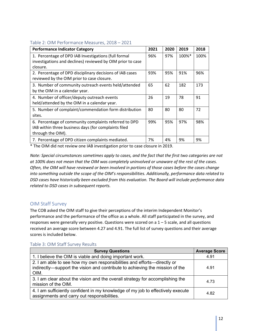#### <span id="page-11-0"></span>Table 2: OIM Performance Measures, 2018 – 2021

| <b>Performance Indicator Category</b>                                                                                              | 2021 | 2020 | 2019  | 2018 |
|------------------------------------------------------------------------------------------------------------------------------------|------|------|-------|------|
| 1. Percentage of DPD IAB Investigations (full formal                                                                               | 96%  | 97%  | 100%* | 100% |
| investigations and declines) reviewed by OIM prior to case                                                                         |      |      |       |      |
| closure.                                                                                                                           |      |      |       |      |
| 2. Percentage of DPD disciplinary decisions of IAB cases<br>reviewed by the OIM prior to case closure.                             | 93%  | 95%  | 91%   | 96%  |
| 3. Number of community outreach events held/attended<br>by the OIM in a calendar year.                                             | 65   | 62   | 182   | 173  |
| 4. Number of officer/deputy outreach events<br>held/attended by the OIM in a calendar year.                                        | 26   | 19   | 78    | 91   |
| 5. Number of complaint/commendation form distribution<br>sites.                                                                    | 80   | 80   | 80    | 72   |
| 6. Percentage of community complaints referred to DPD<br>IAB within three business days (for complaints filed<br>through the OIM). | 99%  | 95%  | 97%   | 98%  |
| 7. Percentage of DPD citizen complaints mediated.                                                                                  | 7%   | 4%   | 9%    | 9%   |

\* The OIM did not review one IAB investigation prior to case closure in 2019.

 *Note: Special circumstances sometimes apply to cases, and the fact that the first two categories are not at 100% does not mean that the OIM was completely uninvolved or unaware of the rest of the cases. Often, the OIM will have reviewed or been involved in portions of those cases before the cases change into something outside the scope of the OIM's responsibilities. Additionally, performance data related to related to DSD cases in subsequent reports. DSD cases have historically been excluded from this evaluation. The Board will include performance data* 

#### OIM Staff Survey

 performance and the performance of the office as a whole. All staff participated in the survey, and The COB asked the OIM staff to give their perceptions of the interim Independent Monitor's responses were generally very positive. Questions were scored on a 1 – 5 scale, and all questions received an average score between 4.27 and 4.91. The full list of survey questions and their average scores is included below.

| <b>Survey Questions</b>                                                                                                                                         | <b>Average Score</b> |
|-----------------------------------------------------------------------------------------------------------------------------------------------------------------|----------------------|
| 1. I believe the OIM is viable and doing important work.                                                                                                        | 4.91                 |
| 2. I am able to see how my own responsibilities and efforts-directly or<br>indirectly—support the vision and contribute to achieving the mission of the<br>OIM. | 4.91                 |
| 3. I am clear about the vision and the overall strategy for accomplishing the<br>mission of the OIM.                                                            | 4.73                 |
| 4. I am sufficiently confident in my knowledge of my job to effectively execute<br>assignments and carry out responsibilities.                                  | 4.82                 |

#### Table 3: OIM Staff Survey Results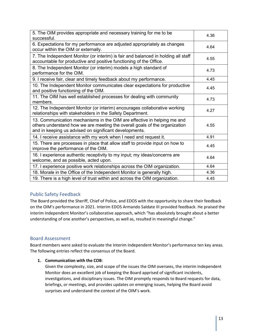<span id="page-12-0"></span>

| 5. The OIM provides appropriate and necessary training for me to be<br>successful.                                                                                                                              | 4.36 |
|-----------------------------------------------------------------------------------------------------------------------------------------------------------------------------------------------------------------|------|
| 6. Expectations for my performance are adjusted appropriately as changes<br>occur within the OIM or externally.                                                                                                 | 4.64 |
| 7. The Independent Monitor (or interim) is fair and balanced in holding all staff<br>accountable for productive and positive functioning of the Office.                                                         | 4.55 |
| 8. The Independent Monitor (or interim) models a high standard of<br>performance for the OIM.                                                                                                                   | 4.73 |
| 9. I receive fair, clear and timely feedback about my performance.                                                                                                                                              | 4.45 |
| 10. The Independent Monitor communicates clear expectations for productive<br>and positive functioning of the OIM.                                                                                              | 4.45 |
| 11. The OIM has well established processes for dealing with community<br>members.                                                                                                                               | 4.73 |
| 12. The Independent Monitor (or interim) encourages collaborative working<br>relationships with stakeholders in the Safety Department.                                                                          | 4.27 |
| 13. Communication mechanisms in the OIM are effective in helping me and<br>others understand how we are meeting the overall goals of the organization<br>and in keeping us advised on significant developments. | 4.55 |
| 14. I receive assistance with my work when I need and request it.                                                                                                                                               | 4.91 |
| 15. There are processes in place that allow staff to provide input on how to<br>improve the performance of the OIM.                                                                                             | 4.45 |
| 16. I experience authentic receptivity to my input; my ideas/concerns are<br>welcome, and as possible, acted upon.                                                                                              | 4.64 |
| 17. I experience positive work relationships across the OIM organization.                                                                                                                                       | 4.64 |
| 18. Morale in the Office of the Independent Monitor is generally high.                                                                                                                                          | 4.36 |
| 19. There is a high level of trust within and across the OIM organization.                                                                                                                                      | 4.45 |

#### Public Safety Feedback

 on the OIM's performance in 2021. Interim EDOS Armando Saldate III provided feedback. He praised the The Board provided the Sheriff, Chief of Police, and EDOS with the opportunity to share their feedback interim Independent Monitor's collaborative approach, which "has absolutely brought about a better understanding of one another's perspectives, as well as, resulted in meaningful change."

#### Board Assessment

 Board members were asked to evaluate the Interim Independent Monitor's performance ten key areas. The following entries reflect the consensus of the Board.

#### **1. Communication with the COB**:

 briefings, or meetings, and provides updates on emerging issues, helping the Board avoid Given the complexity, size, and scope of the issues the OIM oversees, the interim Independent Monitor does an excellent job of keeping the Board apprised of significant incidents, investigations, and disciplinary issues. The OIM promptly responds to Board requests for data, surprises and understand the context of the OIM's work.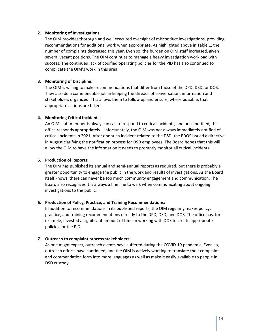#### **2. Monitoring of Investigations**:

The OIM provides thorough and well executed oversight of misconduct investigations, providing recommendations for additional work when appropriate. As highlighted above in Table 1, the number of complaints decreased this year. Even so, the burden on OIM staff increased, given several vacant positions. The OIM continues to manage a heavy investigation workload with success. The continued lack of codified operating policies for the PID has also continued to complicate the OIM's work in this area.

#### **3. Monitoring of Discipline:**

The OIM is willing to make recommendations that differ from those of the DPD, DSD, or DOS. They also do a commendable job in keeping the threads of conversation, information and stakeholders organized. This allows them to follow up and ensure, where possible, that appropriate actions are taken.

#### **4. Monitoring Critical Incidents:**

An OIM staff member is always on call to respond to critical incidents, and once notified, the office responds appropriately. Unfortunately, the OIM was not always immediately notified of critical incidents in 2021. After one such incident related to the DSD, the EDOS issued a directive in August clarifying the notification process for DSD employees. The Board hopes that this will allow the OIM to have the information it needs to promptly monitor all critical incidents.

#### **5. Production of Reports:**

The OIM has published its annual and semi-annual reports as required, but there is probably a greater opportunity to engage the public in the work and results of investigations. As the Board itself knows, there can never be too much community engagement and communication. The Board also recognizes it is always a fine line to walk when communicating about ongoing investigations to the public.

#### **6. Production of Policy, Practice, and Training Recommendations:**

In addition to recommendations in its published reports, the OIM regularly makes policy, practice, and training recommendations directly to the DPD, DSD, and DOS. The office has, for example, invested a significant amount of time in working with DOS to create appropriate policies for the PID.

#### **7. Outreach to complaint process stakeholders:**

As one might expect, outreach events have suffered during the COVID-19 pandemic. Even so, outreach efforts have continued, and the OIM is actively working to translate their complaint and commendation form into more languages as well as make it easily available to people in DSD custody.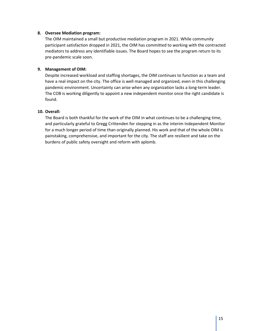#### **8. Oversee Mediation program:**

The OIM maintained a small but productive mediation program in 2021. While community participant satisfaction dropped in 2021, the OIM has committed to working with the contracted mediators to address any identifiable issues. The Board hopes to see the program return to its pre-pandemic scale soon.

#### **9. Management of OIM:**

Despite increased workload and staffing shortages, the OIM continues to function as a team and have a real impact on the city. The office is well managed and organized, even in this challenging pandemic environment. Uncertainty can arise when any organization lacks a long-term leader. The COB is working diligently to appoint a new independent monitor once the right candidate is found.

#### **10. Overall:**

The Board is both thankful for the work of the OIM in what continues to be a challenging time, and particularly grateful to Gregg Crittenden for stepping in as the interim Independent Monitor for a much longer period of time than originally planned. His work and that of the whole OIM is painstaking, comprehensive, and important for the city. The staff are resilient and take on the burdens of public safety oversight and reform with aplomb.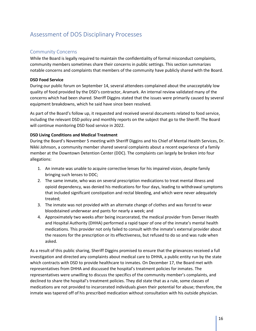## <span id="page-15-0"></span>Assessment of DOS Disciplinary Processes

#### <span id="page-15-1"></span>Community Concerns

While the Board is legally required to maintain the confidentiality of formal misconduct complaints, community members sometimes share their concerns in public settings. This section summarizes notable concerns and complaints that members of the community have publicly shared with the Board.

#### **DSD Food Service**

During our public forum on September 14, several attendees complained about the unacceptably low quality of food provided by the DSD's contractor, Aramark. An internal review validated many of the concerns which had been shared. Sheriff Diggins stated that the issues were primarily caused by several equipment breakdowns, which he said have since been resolved.

As part of the Board's follow up, it requested and received several documents related to food service, including the relevant DSD policy and monthly reports on the subject that go to the Sheriff. The Board will continue monitoring DSD food service in 2022.

#### **DSD Living Conditions and Medical Treatment**

During the Board's November 5 meeting with Sheriff Diggins and his Chief of Mental Health Services, Dr. Nikki Johnson, a community member shared several complaints about a recent experience of a family member at the Downtown Detention Center (DDC). The complaints can largely be broken into four allegations:

- 1. An inmate was unable to acquire corrective lenses for his impaired vision, despite family bringing such lenses to DDC;
- 2. The same inmate, who was on several prescription medications to treat mental illness and opioid dependency, was denied his medications for four days, leading to withdrawal symptoms that included significant constipation and rectal bleeding, and which were never adequately treated;
- 3. The inmate was not provided with an alternate change of clothes and was forced to wear bloodstained underwear and pants for nearly a week; and
- 4. Approximately two weeks after being incarcerated, the medical provider from Denver Health and Hospital Authority (DHHA) performed a rapid taper of one of the inmate's mental health medications. This provider not only failed to consult with the inmate's external provider about the reasons for the prescription or its effectiveness, but refused to do so and was rude when asked.

As a result of this public sharing, Sheriff Diggins promised to ensure that the grievances received a full investigation and directed any complaints about medical care to DHHA, a public entity run by the state which contracts with DSD to provide healthcare to inmates. On December 17, the Board met with representatives from DHHA and discussed the hospital's treatment policies for inmates. The representatives were unwilling to discuss the specifics of the community member's complaints, and declined to share the hospital's treatment policies. They did state that as a rule, some classes of medications are not provided to incarcerated individuals given their potential for abuse; therefore, the inmate was tapered off of his prescribed medication without consultation with his outside physician.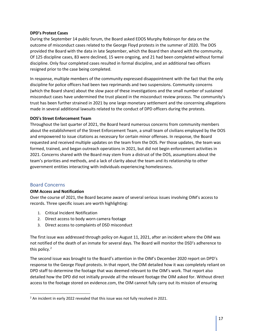#### **DPD's Protest Cases**

During the September 14 public forum, the Board asked EDOS Murphy Robinson for data on the outcome of misconduct cases related to the George Floyd protests in the summer of 2020. The DOS provided the Board with the data in late September, which the Board then shared with the community. Of 125 discipline cases, 83 were declined, 15 were ongoing, and 21 had been completed without formal discipline. Only four completed cases resulted in formal discipline, and an additional two officers resigned prior to the case being completed.

In response, multiple members of the community expressed disappointment with the fact that the only discipline for police officers had been two reprimands and two suspensions. Community concerns (which the Board share) about the slow pace of these investigations and the small number of sustained misconduct cases have undermined the trust placed in the misconduct review process. The community's trust has been further strained in 2021 by one large monetary settlement and the concerning allegations made in several additional lawsuits related to the conduct of DPD officers during the protests.

#### **DOS's Street Enforcement Team**

Throughout the last quarter of 2021, the Board heard numerous concerns from community members about the establishment of the Street Enforcement Team, a small team of civilians employed by the DOS and empowered to issue citations as necessary for certain minor offenses. In response, the Board requested and received multiple updates on the team from the DOS. Per those updates, the team was formed, trained, and began outreach operations in 2021, but did not begin enforcement activities in 2021. Concerns shared with the Board may stem from a distrust of the DOS, assumptions about the team's priorities and methods, and a lack of clarity about the team and its relationship to other government entities interacting with individuals experiencing homelessness.

#### <span id="page-16-0"></span>Board Concerns

#### **OIM Access and Notification**

Over the course of 2021, the Board became aware of several serious issues involving OIM's access to records. Three specific issues are worth highlighting:

- 1. Critical Incident Notification
- 2. Direct access to body worn camera footage
- 3. Direct access to complaints of DSD misconduct

The first issue was addressed through policy on August 11, 2021, after an incident where the OIM was not notified of the death of an inmate for several days. The Board will monitor the DSD's adherence to this policy.<sup>[2](#page-16-1)</sup>

The second issue was brought to the Board's attention in the OIM's December 2020 report on DPD's response to the George Floyd protests. In that report, the OIM detailed how it was completely reliant on DPD staff to determine the footage that was deemed relevant to the OIM's work. That report also detailed how the DPD did not initially provide all the relevant footage the OIM asked for. Without direct access to the footage stored on evidence.com, the OIM cannot fully carry out its mission of ensuring

<span id="page-16-1"></span><sup>&</sup>lt;sup>2</sup> An incident in early 2022 revealed that this issue was not fully resolved in 2021.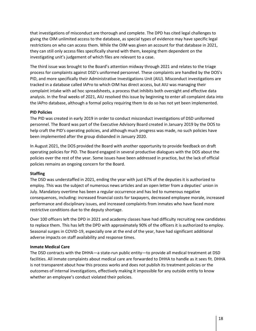that investigations of misconduct are thorough and complete. The DPD has cited legal challenges to giving the OIM unlimited access to the database, as special types of evidence may have specific legal restrictions on who can access them. While the OIM was given an account for that database in 2021, they can still only access files specifically shared with them, keeping them dependent on the investigating unit's judgement of which files are relevant to a case.

The third issue was brought to the Board's attention midway through 2021 and relates to the triage process for complaints against DSD's uniformed personnel. These complaints are handled by the DOS's PID, and more specifically their Administrative Investigations Unit (AIU). Misconduct investigations are tracked in a database called IAPro to which OIM has direct access, but AIU was managing their complaint intake with ad hoc spreadsheets, a process that inhibits both oversight and effective data analysis. In the final weeks of 2021, AIU resolved this issue by beginning to enter all complaint data into the IAPro database, although a formal policy requiring them to do so has not yet been implemented.

#### **PID Policies**

The PID was created in early 2019 in order to conduct misconduct investigations of DSD uniformed personnel. The Board was part of the Executive Advisory Board created in January 2019 by the DOS to help craft the PID's operating policies, and although much progress was made, no such policies have been implemented after the group disbanded in January 2020.

In August 2021, the DOS provided the Board with another opportunity to provide feedback on draft operating policies for PID. The Board engaged in several productive dialogues with the DOS about the policies over the rest of the year. Some issues have been addressed in practice, but the lack of official policies remains an ongoing concern for the Board.

#### **Staffing**

The DSD was understaffed in 2021, ending the year with just 67% of the deputies it is authorized to employ. This was the subject of numerous news articles and an open letter from a deputies' union in July. Mandatory overtime has been a regular occurrence and has led to numerous negative consequences, including: increased financial costs for taxpayers, decreased employee morale, increased performance and disciplinary issues, and increased complaints from inmates who have faced more restrictive conditions due to the deputy shortage.

Over 100 officers left the DPD in 2021 and academy classes have had difficulty recruiting new candidates to replace them. This has left the DPD with approximately 90% of the officers it is authorized to employ. Seasonal surges in COVID-19, especially one at the end of the year, have had significant additional adverse impacts on staff availability and response times.

#### **Inmate Medical Care**

The DSD contracts with the DHHA—a state-run public entity—to provide all medical treatment at DSD facilities. All inmate complaints about medical care are forwarded to DHHA to handle as it sees fit. DHHA is not transparent about how this process works and does not publish its treatment policies or the outcomes of internal investigations, effectively making it impossible for any outside entity to know whether an employee's conduct violated their policies.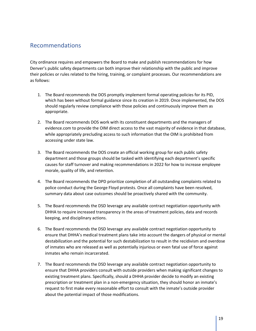### <span id="page-18-0"></span>Recommendations

City ordinance requires and empowers the Board to make and publish recommendations for how Denver's public safety departments can both improve their relationship with the public and improve their policies or rules related to the hiring, training, or complaint processes. Our recommendations are as follows:

- 1. The Board recommends the DOS promptly implement formal operating policies for its PID, which has been without formal guidance since its creation in 2019. Once implemented, the DOS should regularly review compliance with those policies and continuously improve them as appropriate.
- 2. The Board recommends DOS work with its constituent departments and the managers of evidence.com to provide the OIM direct access to the vast majority of evidence in that database, while appropriately precluding access to such information that the OIM is prohibited from accessing under state law.
- 3. The Board recommends the DOS create an official working group for each public safety department and those groups should be tasked with identifying each department's specific causes for staff turnover and making recommendations in 2022 for how to increase employee morale, quality of life, and retention.
- 4. The Board recommends the DPD prioritize completion of all outstanding complaints related to police conduct during the George Floyd protests. Once all complaints have been resolved, summary data about case outcomes should be proactively shared with the community.
- 5. The Board recommends the DSD leverage any available contract negotiation opportunity with DHHA to require increased transparency in the areas of treatment policies, data and records keeping, and disciplinary actions.
- 6. The Board recommends the DSD leverage any available contract negotiation opportunity to ensure that DHHA's medical treatment plans take into account the dangers of physical or mental destabilization and the potential for such destabilization to result in the recidivism and overdose of inmates who are released as well as potentially injurious or even fatal use of force against inmates who remain incarcerated.
- 7. The Board recommends the DSD leverage any available contract negotiation opportunity to ensure that DHHA providers consult with outside providers when making significant changes to existing treatment plans. Specifically, should a DHHA provider decide to modify an existing prescription or treatment plan in a non-emergency situation, they should honor an inmate's request to first make every reasonable effort to consult with the inmate's outside provider about the potential impact of those modifications.